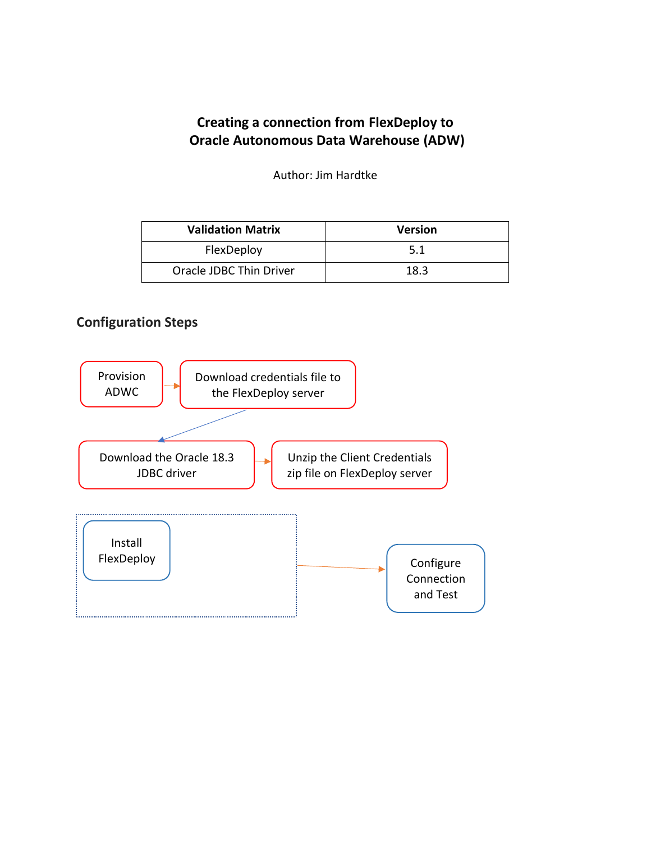# **Creating a connection from FlexDeploy to Oracle Autonomous Data Warehouse (ADW)**

Author: Jim Hardtke

| <b>Validation Matrix</b> | <b>Version</b> |
|--------------------------|----------------|
| FlexDeploy               | 5.1            |
| Oracle JDBC Thin Driver  | 18.3           |

#### **Configuration Steps**